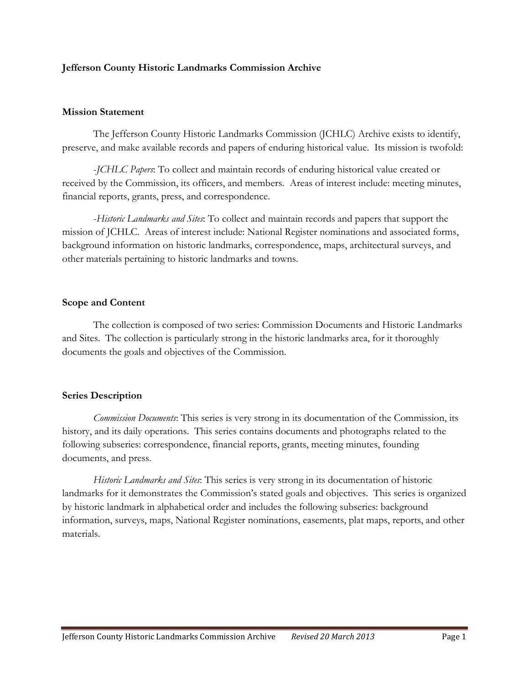### **Jefferson County Historic Landmarks Commission Archive**

### **Mission Statement**

The Jefferson County Historic Landmarks Commission (JCHLC) Archive exists to identify, preserve, and make available records and papers of enduring historical value. Its mission is twofold:

-*JCHLC Papers*: To collect and maintain records of enduring historical value created or received by the Commission, its officers, and members. Areas of interest include: meeting minutes, financial reports, grants, press, and correspondence.

-*Historic Landmarks and Sites*: To collect and maintain records and papers that support the mission of JCHLC. Areas of interest include: National Register nominations and associated forms, background information on historic landmarks, correspondence, maps, architectural surveys, and other materials pertaining to historic landmarks and towns.

#### **Scope and Content**

The collection is composed of two series: Commission Documents and Historic Landmarks and Sites. The collection is particularly strong in the historic landmarks area, for it thoroughly documents the goals and objectives of the Commission.

### **Series Description**

*Commission Documents*: This series is very strong in its documentation of the Commission, its history, and its daily operations. This series contains documents and photographs related to the following subseries: correspondence, financial reports, grants, meeting minutes, founding documents, and press.

*Historic Landmarks and Sites*: This series is very strong in its documentation of historic landmarks for it demonstrates the Commission's stated goals and objectives. This series is organized by historic landmark in alphabetical order and includes the following subseries: background information, surveys, maps, National Register nominations, easements, plat maps, reports, and other materials.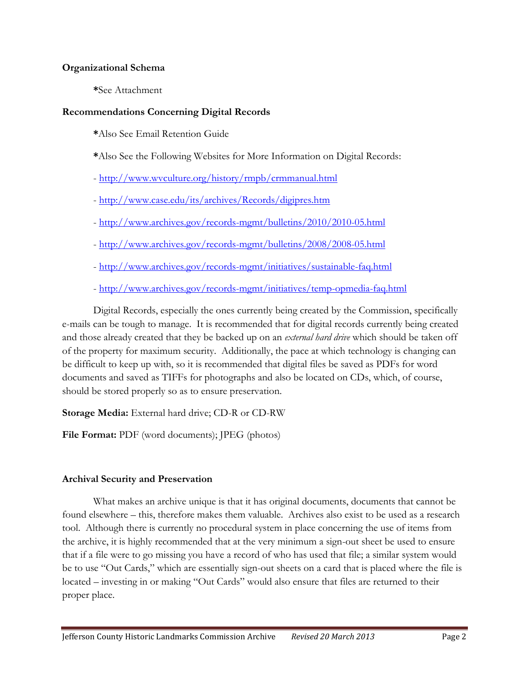### **Organizational Schema**

**\***See Attachment

### **Recommendations Concerning Digital Records**

**\***Also See Email Retention Guide

- **\***Also See the Following Websites for More Information on Digital Records:
- <http://www.wvculture.org/history/rmpb/crmmanual.html>
- <http://www.case.edu/its/archives/Records/digipres.htm>
- <http://www.archives.gov/records-mgmt/bulletins/2010/2010-05.html>
- <http://www.archives.gov/records-mgmt/bulletins/2008/2008-05.html>
- <http://www.archives.gov/records-mgmt/initiatives/sustainable-faq.html>
- <http://www.archives.gov/records-mgmt/initiatives/temp-opmedia-faq.html>

Digital Records, especially the ones currently being created by the Commission, specifically e-mails can be tough to manage. It is recommended that for digital records currently being created and those already created that they be backed up on an *external hard drive* which should be taken off of the property for maximum security. Additionally, the pace at which technology is changing can be difficult to keep up with, so it is recommended that digital files be saved as PDFs for word documents and saved as TIFFs for photographs and also be located on CDs, which, of course, should be stored properly so as to ensure preservation.

**Storage Media:** External hard drive; CD-R or CD-RW

**File Format:** PDF (word documents); JPEG (photos)

### **Archival Security and Preservation**

What makes an archive unique is that it has original documents, documents that cannot be found elsewhere – this, therefore makes them valuable. Archives also exist to be used as a research tool. Although there is currently no procedural system in place concerning the use of items from the archive, it is highly recommended that at the very minimum a sign-out sheet be used to ensure that if a file were to go missing you have a record of who has used that file; a similar system would be to use "Out Cards," which are essentially sign-out sheets on a card that is placed where the file is located – investing in or making "Out Cards" would also ensure that files are returned to their proper place.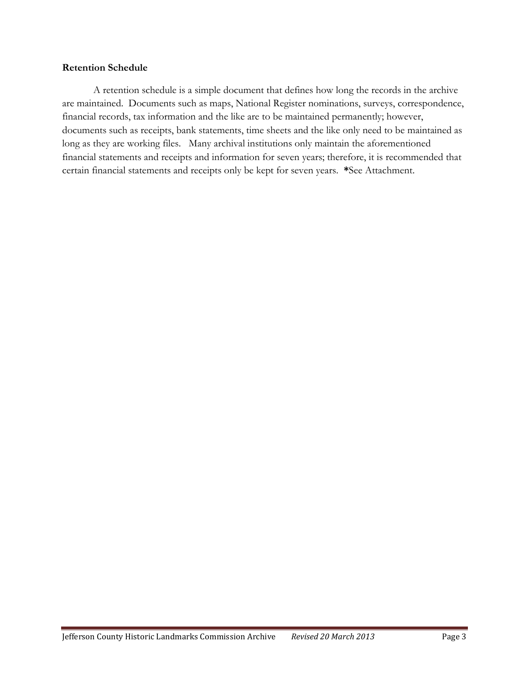#### **Retention Schedule**

A retention schedule is a simple document that defines how long the records in the archive are maintained. Documents such as maps, National Register nominations, surveys, correspondence, financial records, tax information and the like are to be maintained permanently; however, documents such as receipts, bank statements, time sheets and the like only need to be maintained as long as they are working files. Many archival institutions only maintain the aforementioned financial statements and receipts and information for seven years; therefore, it is recommended that certain financial statements and receipts only be kept for seven years. **\***See Attachment.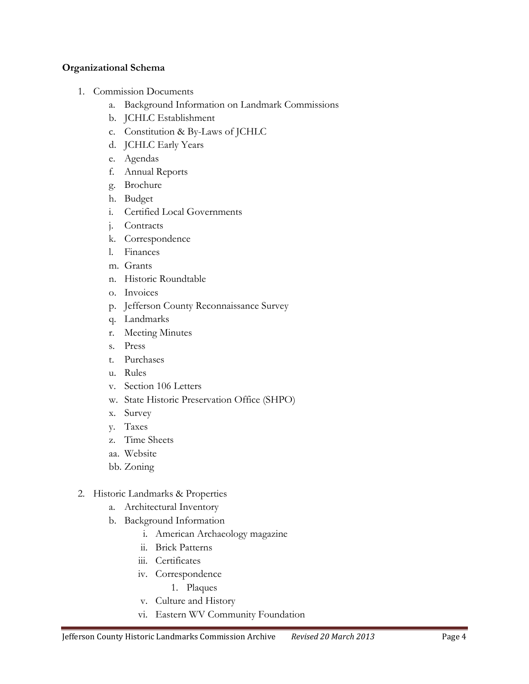### **Organizational Schema**

- 1. Commission Documents
	- a. Background Information on Landmark Commissions
	- b. JCHLC Establishment
	- c. Constitution & By-Laws of JCHLC
	- d. JCHLC Early Years
	- e. Agendas
	- f. Annual Reports
	- g. Brochure
	- h. Budget
	- i. Certified Local Governments
	- j. Contracts
	- k. Correspondence
	- l. Finances
	- m. Grants
	- n. Historic Roundtable
	- o. Invoices
	- p. Jefferson County Reconnaissance Survey
	- q. Landmarks
	- r. Meeting Minutes
	- s. Press
	- t. Purchases
	- u. Rules
	- v. Section 106 Letters
	- w. State Historic Preservation Office (SHPO)
	- x. Survey
	- y. Taxes
	- z. Time Sheets
	- aa. Website
	- bb. Zoning
- 2. Historic Landmarks & Properties
	- a. Architectural Inventory
	- b. Background Information
		- i. American Archaeology magazine
		- ii. Brick Patterns
		- iii. Certificates
		- iv. Correspondence
			- 1. Plaques
		- v. Culture and History
		- vi. Eastern WV Community Foundation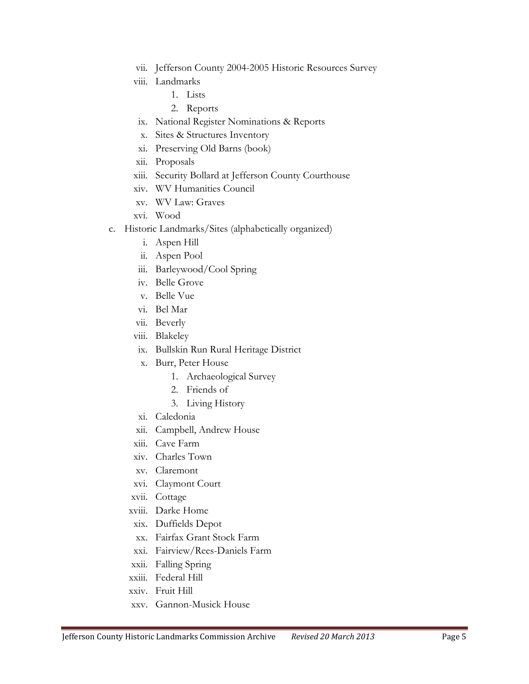- vii. Jefferson County 2004-2005 Historic Resources Survey
- viii. Landmarks
	- 1. Lists
	- 2. Reports
- ix. National Register Nominations & Reports
- x. Sites & Structures Inventory
- xi. Preserving Old Barns (book)
- xii. Proposals
- xiii. Security Bollard at Jefferson County Courthouse
- xiv. WV Humanities Council
- xv. WV Law: Graves
- xvi. Wood
- c. Historic Landmarks/Sites (alphabetically organized)
	- i. Aspen Hill
	- ii. Aspen Pool
	- iii. Barleywood/Cool Spring
	- iv. Belle Grove
	- v. Belle Vue
	- vi. Bel Mar
	- vii. Beverly
	- viii. Blakeley
	- ix. Bullskin Run Rural Heritage District
	- x. Burr, Peter House
		- 1. Archaeological Survey
		- 2. Friends of
		- 3. Living History
	- xi. Caledonia
	- xii. Campbell, Andrew House
	- xiii. Cave Farm
	- xiv. Charles Town
	- xv. Claremont
	- xvi. Claymont Court
	- xvii. Cottage
	- xviii. Darke Home
	- xix. Duffields Depot
	- xx. Fairfax Grant Stock Farm
	- xxi. Fairview/Rees-Daniels Farm
	- xxii. Falling Spring
	- xxiii. Federal Hill
	- xxiv. Fruit Hill
	- xxv. Gannon-Musick House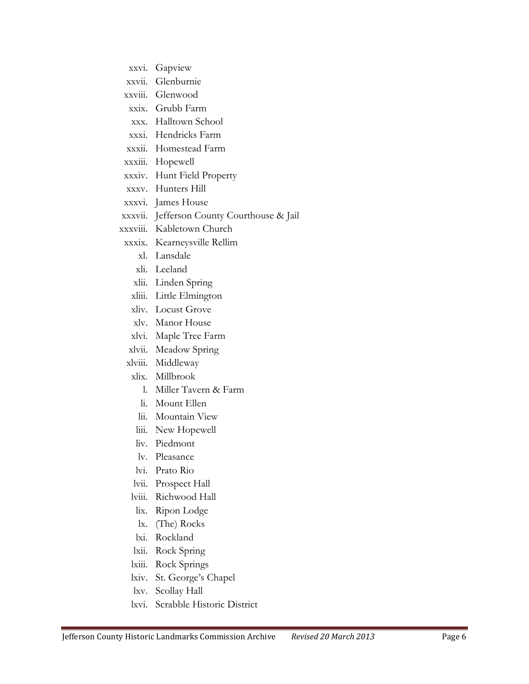- xxvi. Gapview
- xxvii. Glenburnie
- xxviii. Glenwood
- xxix. Grubb Farm
- xxx. Halltown School
- xxxi. Hendricks Farm
- xxxii. Homestead Farm
- xxxiii. Hopewell
- xxxiv. Hunt Field Property
- xxxv. Hunters Hill
- xxxvi. James House
- xxxvii. Jefferson County Courthouse & Jail
- xxxviii. Kabletown Church
- xxxix. Kearneysville Rellim
	- xl. Lansdale
	- xli. Leeland
	- xlii. Linden Spring
	- xliii. Little Elmington
	- xliv. Locust Grove
	- xlv. Manor House
	- xlvi. Maple Tree Farm
- xlvii. Meadow Spring
- xlviii. Middleway
- xlix. Millbrook
	- l. Miller Tavern & Farm
	- li. Mount Ellen
	- lii. Mountain View
	- liii. New Hopewell
	- liv. Piedmont
- lv. Pleasance
- lvi. Prato Rio
- lvii. Prospect Hall
- lviii. Richwood Hall
- lix. Ripon Lodge
- lx. (The) Rocks
- lxi. Rockland
- lxii. Rock Spring
- lxiii. Rock Springs
- lxiv. St. George's Chapel
- lxv. Scollay Hall
- lxvi. Scrabble Historic District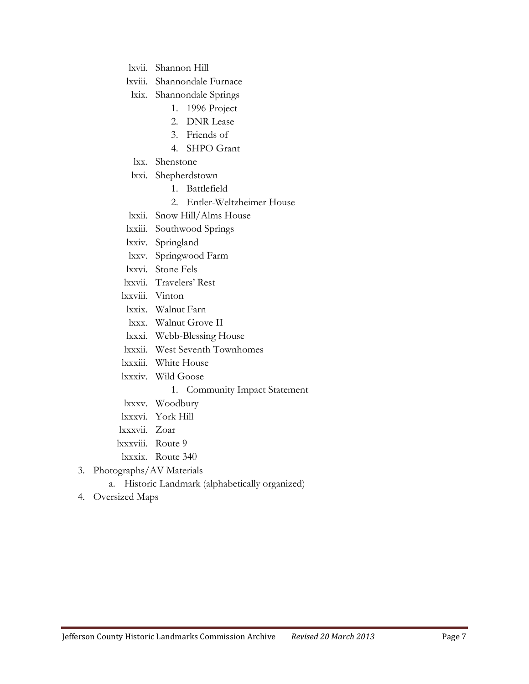lxvii. Shannon Hill

lxviii. Shannondale Furnace

lxix. Shannondale Springs

- 1. 1996 Project
- 2. DNR Lease
- 3. Friends of
- 4. SHPO Grant
- lxx. Shenstone
- lxxi. Shepherdstown
	- 1. Battlefield
	- 2. Entler-Weltzheimer House
- lxxii. Snow Hill/Alms House
- lxxiii. Southwood Springs
- lxxiv. Springland
- lxxv. Springwood Farm
- lxxvi. Stone Fels
- lxxvii. Travelers' Rest
- lxxviii. Vinton
- lxxix. Walnut Farn
- lxxx. Walnut Grove II
- lxxxi. Webb-Blessing House
- lxxxii. West Seventh Townhomes
- lxxxiii. White House
- lxxxiv. Wild Goose
	- 1. Community Impact Statement
- lxxxv. Woodbury
- lxxxvi. York Hill
- lxxxvii. Zoar
- lxxxviii. Route 9
- lxxxix. Route 340
- 3. Photographs/AV Materials
	- a. Historic Landmark (alphabetically organized)
- 4. Oversized Maps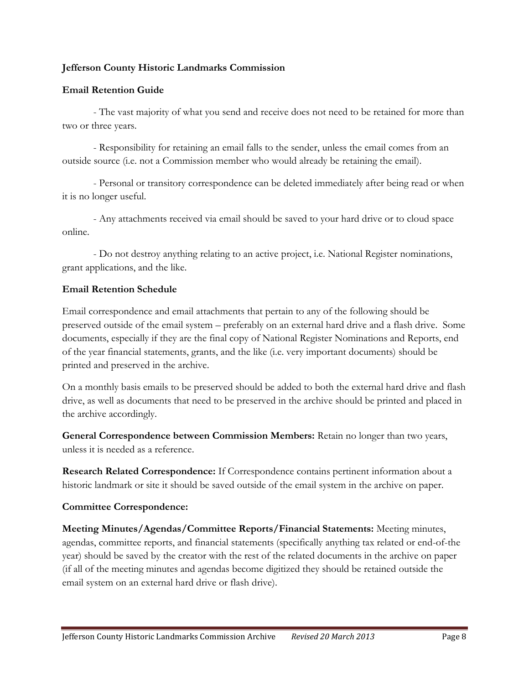### **Jefferson County Historic Landmarks Commission**

### **Email Retention Guide**

- The vast majority of what you send and receive does not need to be retained for more than two or three years.

- Responsibility for retaining an email falls to the sender, unless the email comes from an outside source (i.e. not a Commission member who would already be retaining the email).

- Personal or transitory correspondence can be deleted immediately after being read or when it is no longer useful.

- Any attachments received via email should be saved to your hard drive or to cloud space online.

- Do not destroy anything relating to an active project, i.e. National Register nominations, grant applications, and the like.

### **Email Retention Schedule**

Email correspondence and email attachments that pertain to any of the following should be preserved outside of the email system – preferably on an external hard drive and a flash drive. Some documents, especially if they are the final copy of National Register Nominations and Reports, end of the year financial statements, grants, and the like (i.e. very important documents) should be printed and preserved in the archive.

On a monthly basis emails to be preserved should be added to both the external hard drive and flash drive, as well as documents that need to be preserved in the archive should be printed and placed in the archive accordingly.

**General Correspondence between Commission Members:** Retain no longer than two years, unless it is needed as a reference.

**Research Related Correspondence:** If Correspondence contains pertinent information about a historic landmark or site it should be saved outside of the email system in the archive on paper.

## **Committee Correspondence:**

**Meeting Minutes/Agendas/Committee Reports/Financial Statements:** Meeting minutes, agendas, committee reports, and financial statements (specifically anything tax related or end-of-the year) should be saved by the creator with the rest of the related documents in the archive on paper (if all of the meeting minutes and agendas become digitized they should be retained outside the email system on an external hard drive or flash drive).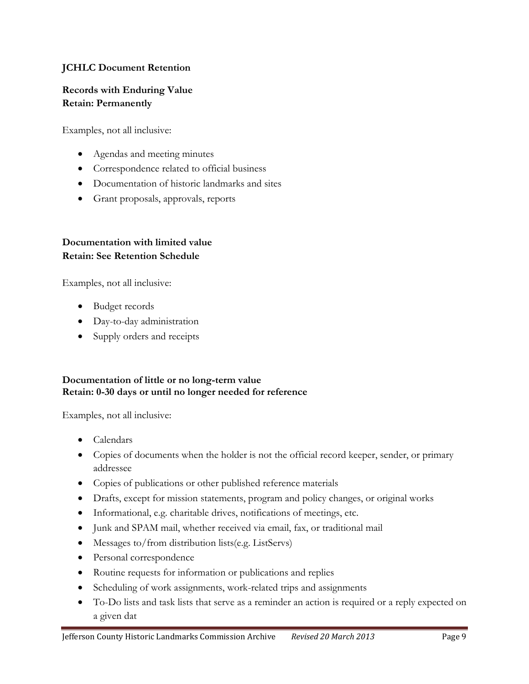## **JCHLC Document Retention**

## **Records with Enduring Value Retain: Permanently**

Examples, not all inclusive:

- Agendas and meeting minutes
- Correspondence related to official business
- Documentation of historic landmarks and sites
- Grant proposals, approvals, reports

## **Documentation with limited value Retain: See Retention Schedule**

Examples, not all inclusive:

- Budget records
- Day-to-day administration
- Supply orders and receipts

### **Documentation of little or no long-term value Retain: 0-30 days or until no longer needed for reference**

Examples, not all inclusive:

- Calendars
- Copies of documents when the holder is not the official record keeper, sender, or primary addressee
- Copies of publications or other published reference materials
- Drafts, except for mission statements, program and policy changes, or original works
- Informational, e.g. charitable drives, notifications of meetings, etc.
- Junk and SPAM mail, whether received via email, fax, or traditional mail
- Messages to/from distribution lists(e.g. ListServs)
- Personal correspondence
- Routine requests for information or publications and replies
- Scheduling of work assignments, work-related trips and assignments
- To-Do lists and task lists that serve as a reminder an action is required or a reply expected on a given dat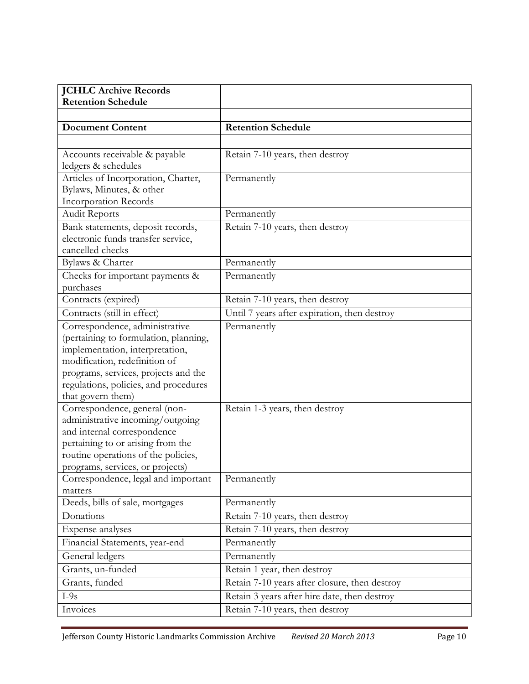| <b>JCHLC Archive Records</b>                                                                                                                                                                                                                      |                                               |
|---------------------------------------------------------------------------------------------------------------------------------------------------------------------------------------------------------------------------------------------------|-----------------------------------------------|
| <b>Retention Schedule</b>                                                                                                                                                                                                                         |                                               |
|                                                                                                                                                                                                                                                   |                                               |
| <b>Document Content</b>                                                                                                                                                                                                                           | <b>Retention Schedule</b>                     |
|                                                                                                                                                                                                                                                   |                                               |
| Accounts receivable & payable<br>ledgers & schedules                                                                                                                                                                                              | Retain 7-10 years, then destroy               |
| Articles of Incorporation, Charter,<br>Bylaws, Minutes, & other<br><b>Incorporation Records</b>                                                                                                                                                   | Permanently                                   |
| <b>Audit Reports</b>                                                                                                                                                                                                                              | Permanently                                   |
| Bank statements, deposit records,<br>electronic funds transfer service,<br>cancelled checks                                                                                                                                                       | Retain 7-10 years, then destroy               |
| Bylaws & Charter                                                                                                                                                                                                                                  | Permanently                                   |
| Checks for important payments &<br>purchases                                                                                                                                                                                                      | Permanently                                   |
| Contracts (expired)                                                                                                                                                                                                                               | Retain 7-10 years, then destroy               |
| Contracts (still in effect)                                                                                                                                                                                                                       | Until 7 years after expiration, then destroy  |
| Correspondence, administrative<br>(pertaining to formulation, planning,<br>implementation, interpretation,<br>modification, redefinition of<br>programs, services, projects and the<br>regulations, policies, and procedures<br>that govern them) | Permanently                                   |
| Correspondence, general (non-<br>administrative incoming/outgoing<br>and internal correspondence<br>pertaining to or arising from the<br>routine operations of the policies,<br>programs, services, or projects)                                  | Retain 1-3 years, then destroy                |
| Correspondence, legal and important<br>matters                                                                                                                                                                                                    | Permanently                                   |
| Deeds, bills of sale, mortgages                                                                                                                                                                                                                   | Permanently                                   |
| Donations                                                                                                                                                                                                                                         | Retain 7-10 years, then destroy               |
| Expense analyses                                                                                                                                                                                                                                  | Retain 7-10 years, then destroy               |
| Financial Statements, year-end                                                                                                                                                                                                                    | Permanently                                   |
| General ledgers                                                                                                                                                                                                                                   | Permanently                                   |
| Grants, un-funded                                                                                                                                                                                                                                 | Retain 1 year, then destroy                   |
| Grants, funded                                                                                                                                                                                                                                    | Retain 7-10 years after closure, then destroy |
| $I-9s$                                                                                                                                                                                                                                            | Retain 3 years after hire date, then destroy  |
| Invoices                                                                                                                                                                                                                                          | Retain 7-10 years, then destroy               |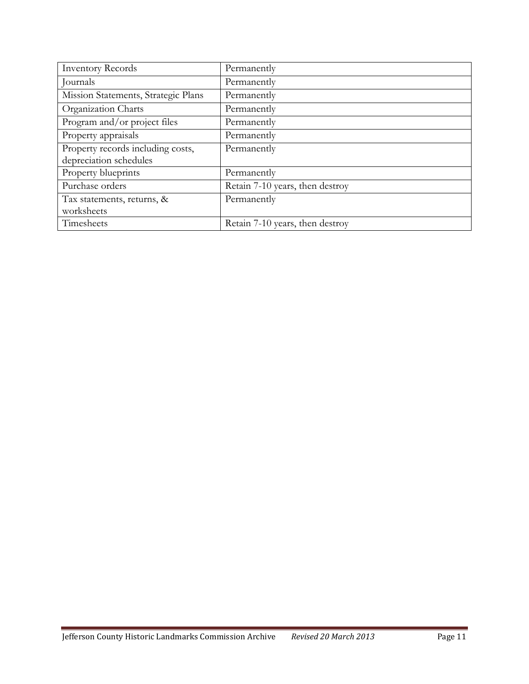| <b>Inventory Records</b>            | Permanently                     |
|-------------------------------------|---------------------------------|
| Journals                            | Permanently                     |
| Mission Statements, Strategic Plans | Permanently                     |
| Organization Charts                 | Permanently                     |
| Program and/or project files        | Permanently                     |
| Property appraisals                 | Permanently                     |
| Property records including costs,   | Permanently                     |
| depreciation schedules              |                                 |
| Property blueprints                 | Permanently                     |
| Purchase orders                     | Retain 7-10 years, then destroy |
| Tax statements, returns, &          | Permanently                     |
| worksheets                          |                                 |
| Timesheets                          | Retain 7-10 years, then destroy |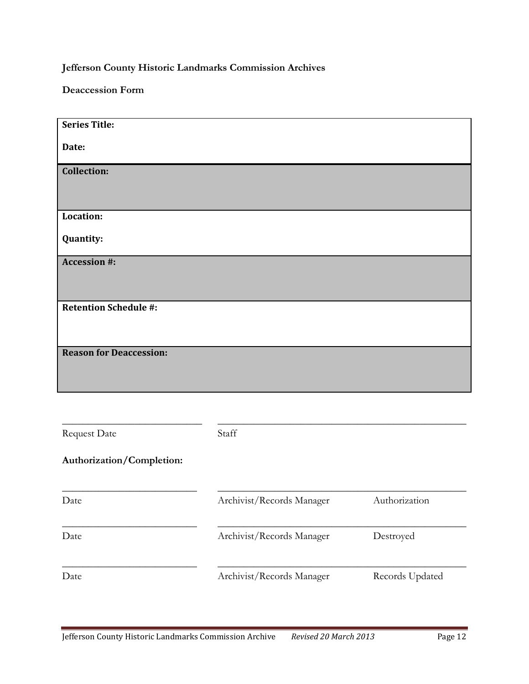**Jefferson County Historic Landmarks Commission Archives**

**Deaccession Form**

| <b>Series Title:</b><br>Date:<br><b>Collection:</b><br>Location:<br>Quantity:<br><b>Accession #:</b> |
|------------------------------------------------------------------------------------------------------|
|                                                                                                      |
|                                                                                                      |
|                                                                                                      |
|                                                                                                      |
|                                                                                                      |
|                                                                                                      |
|                                                                                                      |
|                                                                                                      |
|                                                                                                      |
|                                                                                                      |
|                                                                                                      |
|                                                                                                      |
|                                                                                                      |
|                                                                                                      |
|                                                                                                      |
|                                                                                                      |
|                                                                                                      |
|                                                                                                      |
| <b>Retention Schedule #:</b>                                                                         |
|                                                                                                      |
|                                                                                                      |
|                                                                                                      |
|                                                                                                      |
| <b>Reason for Deaccession:</b>                                                                       |
|                                                                                                      |
|                                                                                                      |
|                                                                                                      |
|                                                                                                      |

| <b>Request Date</b>       | Staff                     |                 |
|---------------------------|---------------------------|-----------------|
| Authorization/Completion: |                           |                 |
| Date                      | Archivist/Records Manager | Authorization   |
| Date                      | Archivist/Records Manager | Destroyed       |
| Date                      | Archivist/Records Manager | Records Updated |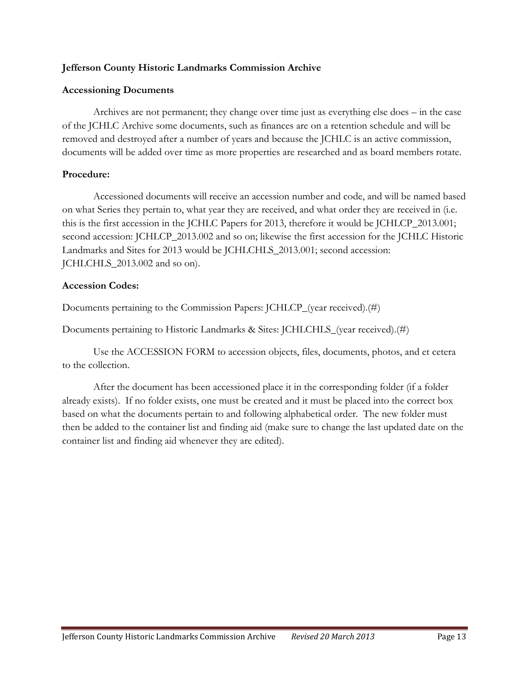### **Jefferson County Historic Landmarks Commission Archive**

### **Accessioning Documents**

Archives are not permanent; they change over time just as everything else does – in the case of the JCHLC Archive some documents, such as finances are on a retention schedule and will be removed and destroyed after a number of years and because the JCHLC is an active commission, documents will be added over time as more properties are researched and as board members rotate.

### **Procedure:**

Accessioned documents will receive an accession number and code, and will be named based on what Series they pertain to, what year they are received, and what order they are received in (i.e. this is the first accession in the JCHLC Papers for 2013, therefore it would be JCHLCP\_2013.001; second accession: JCHLCP\_2013.002 and so on; likewise the first accession for the JCHLC Historic Landmarks and Sites for 2013 would be JCHLCHLS\_2013.001; second accession: JCHLCHLS\_2013.002 and so on).

### **Accession Codes:**

Documents pertaining to the Commission Papers: JCHLCP\_(year received).(#)

Documents pertaining to Historic Landmarks & Sites: JCHLCHLS\_(year received).(#)

Use the ACCESSION FORM to accession objects, files, documents, photos, and et cetera to the collection.

After the document has been accessioned place it in the corresponding folder (if a folder already exists). If no folder exists, one must be created and it must be placed into the correct box based on what the documents pertain to and following alphabetical order. The new folder must then be added to the container list and finding aid (make sure to change the last updated date on the container list and finding aid whenever they are edited).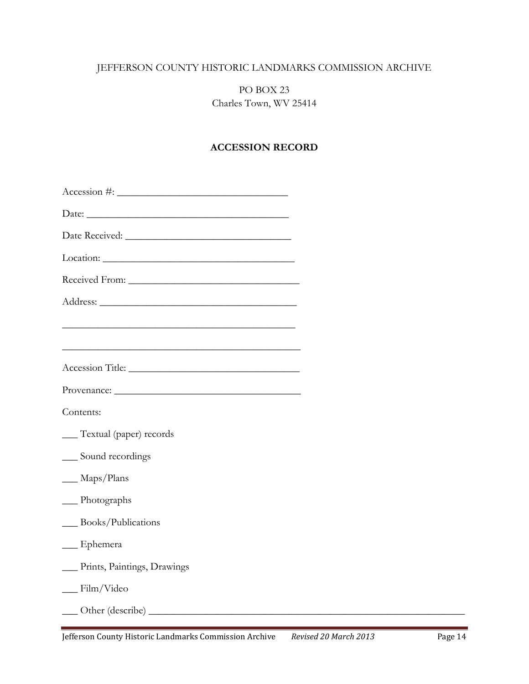# JEFFERSON COUNTY HISTORIC LANDMARKS COMMISSION ARCHIVE

## PO BOX 23 Charles Town, WV 25414

### **ACCESSION RECORD**

| $\text{Accession}\; \#:\underline{\hspace{2.5cm}}$                                                               |  |
|------------------------------------------------------------------------------------------------------------------|--|
|                                                                                                                  |  |
|                                                                                                                  |  |
|                                                                                                                  |  |
|                                                                                                                  |  |
|                                                                                                                  |  |
| and the control of the control of the control of the control of the control of the control of the control of the |  |
| <u> 1989 - Johann Stoff, amerikansk politiker (d. 1989)</u>                                                      |  |
| Accession Title:                                                                                                 |  |
| Provenance:                                                                                                      |  |
| Contents:                                                                                                        |  |
| __ Textual (paper) records                                                                                       |  |
| __ Sound recordings                                                                                              |  |
| $\_\_\$ Maps/Plans                                                                                               |  |
| $\frac{1}{2}$ Photographs                                                                                        |  |
| __ Books/Publications                                                                                            |  |
| $\_\_$ Ephemera                                                                                                  |  |
| Prints, Paintings, Drawings                                                                                      |  |
| $\frac{1}{\text{Film}}$ /Video                                                                                   |  |
|                                                                                                                  |  |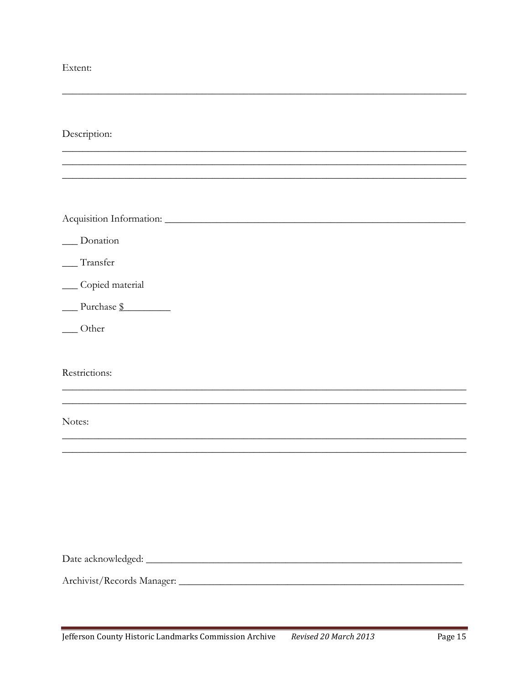Extent:

Description:

\_Donation

\_\_Transfer

\_\_ Copied material

Purchase \$

 $\_\_$  Other

Restrictions:

Notes: